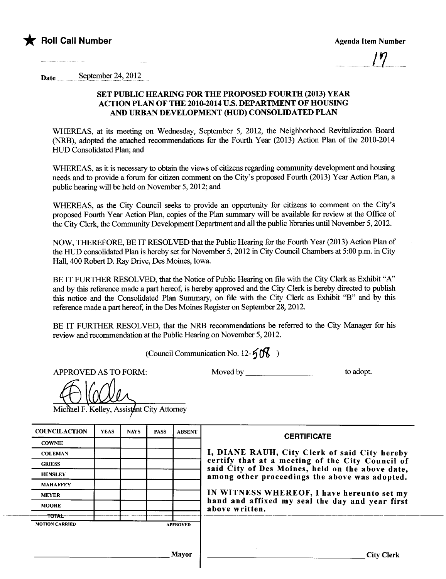

...............................l.?...

Date .......... .... ....se.pt(;II~e.r .~1,..~Ql.~.....

## SET PUBLIC HEARING FOR THE PROPOSED FOURTH (2013) YEAR ACTION PLAN OF THE 2010-2014 U.S. DEPARTMENT OF HOUSING AND URBAN DEVELOPMENT (HUD) CONSOLIDATED PLAN

WHREAS, at its meeting on Wednesday, September 5, 2012, the Neighborhood Revitalization Board (NRB), adopted the attached recommendations for the Fourth Year (2013) Action Plan of the 2010-2014 HUD Consolidated Plan; and

WHEREAS, as it is necessary to obtain the views of citizens regarding community development and housing needs and to provide a forum for citizen comment on the City's proposed Fourth (2013) Year Action Plan, a public hearing will be held on November 5, 2012; and

WHEREAS, as the City Council seeks to provide an opportunity for citizens to comment on the City's proposed Fourth Year Action Plan, copies of the Plan summary will be available for review at the Office of the City Clerk, the Community Development Department and all the public libraries until November 5, 2012.

NOW, THEREFORE, BE IT RESOLVED that the Public Hearing for the Fourth Year (2013) Action Plan of the HUD consolidated Plan is hereby set for November 5, 2012 in City Council Chambers at 5:00 p.m. in City Hall, 400 Robert D. Ray Drive, Des Moines, Iowa.

BE IT FURTHER RESOLVED, that the Notice of Public Hearing on file with the City Clerk as Exhibit "A" and by this reference made a part hereof, is hereby approved and the City Clerk is hereby directed to publish this notice and the Consolidated Plan Summary, on file with the City Clerk as Exhibit "B" and by this reference made a part hereof, in the Des Moines Register on September 28, 2012.

BE IT FURTHER RESOLVED, that the NRB recommendations be referred to the City Manager for his review and recommendation at the Public Hearing on November 5, 2012.

(Council Communication No. 12- $\frac{5}{6}$ )

APPROVED AS TO FORM: Moved by \_\_\_\_\_\_\_\_\_\_\_\_\_\_\_\_\_\_\_\_\_\_\_ to adopt.

Michael F. Kelley, Assistant City Attorney

| <b>COUNCILACTION</b>  | <b>YEAS</b> | <b>NAYS</b> | <b>PASS</b> | <b>ABSENT</b>   | <b>CERTIFICATE</b>                                                                                 |  |  |  |
|-----------------------|-------------|-------------|-------------|-----------------|----------------------------------------------------------------------------------------------------|--|--|--|
| <b>COWNIE</b>         |             |             |             |                 |                                                                                                    |  |  |  |
| <b>COLEMAN</b>        |             |             |             |                 | I, DIANE RAUH, City Clerk of said City hereby<br>certify that at a meeting of the City Council of  |  |  |  |
| <b>GRIESS</b>         |             |             |             |                 |                                                                                                    |  |  |  |
| <b>HENSLEY</b>        |             |             |             |                 | said City of Des Moines, held on the above date,<br>among other proceedings the above was adopted. |  |  |  |
| <b>MAHAFFEY</b>       |             |             |             |                 |                                                                                                    |  |  |  |
| <b>MEYER</b>          |             |             |             |                 | IN WITNESS WHEREOF, I have hereunto set my                                                         |  |  |  |
| <b>MOORE</b>          |             |             |             |                 | hand and affixed my seal the day and year first<br>above written.                                  |  |  |  |
| <b>TOTAL</b>          |             |             |             |                 |                                                                                                    |  |  |  |
| <b>MOTION CARRIED</b> |             |             |             | <b>APPROVED</b> |                                                                                                    |  |  |  |
|                       |             |             |             |                 |                                                                                                    |  |  |  |
|                       |             |             |             |                 |                                                                                                    |  |  |  |
|                       |             |             |             | <b>Mayor</b>    | <b>City Clerk</b>                                                                                  |  |  |  |
|                       |             |             |             |                 |                                                                                                    |  |  |  |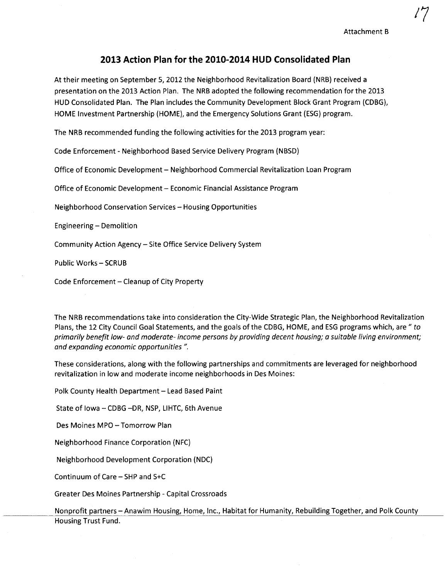## 2013 Action Plan for the 2010~2014 HUD Consolidated Plan

At their meeting on September 5,2012 the Neighborhood Revitalization Board (NRB) received a presentation on the 2013 Action Plan. The NRB adopted the following recommendation for the 2013 HUD Consolidated Plan. The Plan includes the Community Development Block Grant Program (CDBG), HOME Investment Partnership (HOME), and the Emergency Solutions Grant (ESG) program.

The NRB recommended funding the following activities for the 2013 program year:

Code Enforcement - Neighborhood Based Service Delivery Program (NBSD)

Office of Economic Development - Neighborhood Commercial Revitalization Loan Program

Office of Economic Development - Economic Financial Assistance Program

Neighborhood Conservation Services - Housing Opportunities

Engineering - Demolition

Community Action Agency - Site Office Service Delivery System

Public Works - SCRUB

Code Enforcement - Cleanup of City Property

The NRB recommendations take into consideration the City-Wide Strategic Plan, the Neighborhood Revitalization Plans, the 12 City Council Goal Statements, and the goals of the CDBG, HOME, and ESG programs which, are " to primarily benefit low- and moderate- income persons by providing decent housing; a suitable living environment; and expanding economic opportunities ".

These considerations, along with the following partnerships and commitments are leveraged for neighborhood revitalization in low and moderate income neighborhoods in Des Moines:

Polk County Health Department - Lead Based Paint

State of Iowa - CDBG -DR, NSP, LIHTC, 6th Avenue

Des Moines MPO - Tomorrow Plan

Neighborhood Finance Corporation (NFC)

Neighborhood Development Corporation (NDC)

Continuum of Care - SHP and S+C

Greater Des Moines Partnership - Capital Crossroads

Nonprofit partners - Anawim Housing, Home, Inc., Habitat for Humanity, Rebuilding Together, and Polk County Housing Trust Fund.